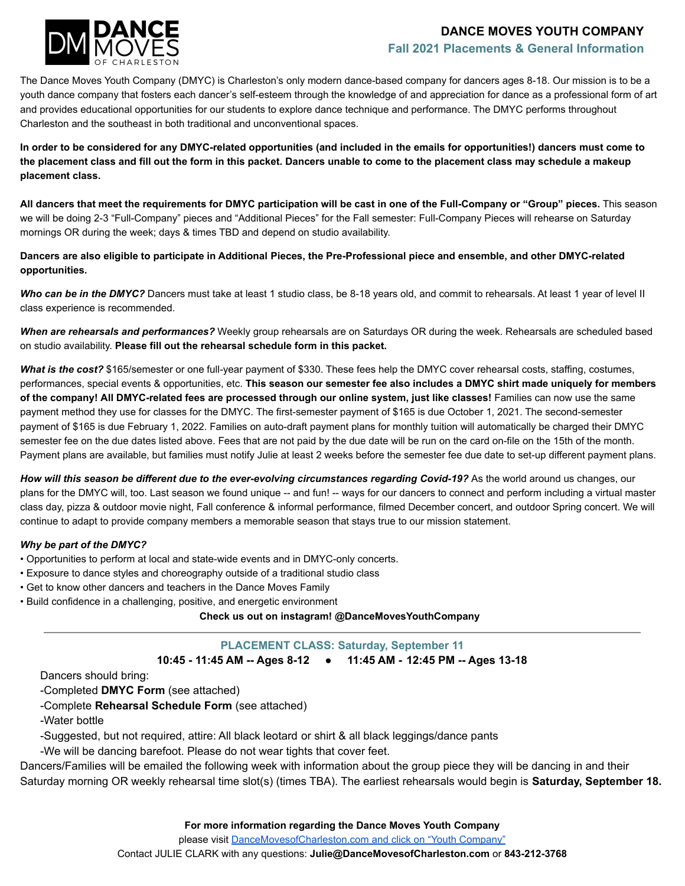### **DANCE MOVES YOUTH COMPANY Fall 2021 Placements & General Information**



The Dance Moves Youth Company (DMYC) is Charleston's only modern dance-based company for dancers ages 8-18. Our mission is to be a youth dance company that fosters each dancer's self-esteem through the knowledge of and appreciation for dance as a professional form of art and provides educational opportunities for our students to explore dance technique and performance. The DMYC performs throughout Charleston and the southeast in both traditional and unconventional spaces.

**In order to be considered for any DMYC-related opportunities (and included in the emails for opportunities!) dancers must come to the placement class and fill out the form in this packet. Dancers unable to come to the placement class may schedule a makeup placement class.**

**All dancers that meet the requirements for DMYC participation will be cast in one of the Full-Company or "Group" pieces.** This season we will be doing 2-3 "Full-Company" pieces and "Additional Pieces" for the Fall semester: Full-Company Pieces will rehearse on Saturday mornings OR during the week; days & times TBD and depend on studio availability.

**Dancers are also eligible to participate in Additional Pieces, the Pre-Professional piece and ensemble, and other DMYC-related opportunities.**

*Who can be in the DMYC?* Dancers must take at least 1 studio class, be 8-18 years old, and commit to rehearsals. At least 1 year of level II class experience is recommended.

*When are rehearsals and performances?* Weekly group rehearsals are on Saturdays OR during the week. Rehearsals are scheduled based on studio availability. **Please fill out the rehearsal schedule form in this packet.**

*What is the cost?* \$165/semester or one full-year payment of \$330. These fees help the DMYC cover rehearsal costs, staffing, costumes, performances, special events & opportunities, etc. **This season our semester fee also includes a DMYC shirt made uniquely for members of the company! All DMYC-related fees are processed through our online system, just like classes!** Families can now use the same payment method they use for classes for the DMYC. The first-semester payment of \$165 is due October 1, 2021. The second-semester payment of \$165 is due February 1, 2022. Families on auto-draft payment plans for monthly tuition will automatically be charged their DMYC semester fee on the due dates listed above. Fees that are not paid by the due date will be run on the card on-file on the 15th of the month. Payment plans are available, but families must notify Julie at least 2 weeks before the semester fee due date to set-up different payment plans.

*How will this season be different due to the ever-evolving circumstances regarding Covid-19?* As the world around us changes, our plans for the DMYC will, too. Last season we found unique -- and fun! -- ways for our dancers to connect and perform including a virtual master class day, pizza & outdoor movie night, Fall conference & informal performance, filmed December concert, and outdoor Spring concert. We will continue to adapt to provide company members a memorable season that stays true to our mission statement.

#### *Why be part of the DMYC?*

- Opportunities to perform at local and state-wide events and in DMYC-only concerts.
- Exposure to dance styles and choreography outside of a traditional studio class
- Get to know other dancers and teachers in the Dance Moves Family
- Build confidence in a challenging, positive, and energetic environment

**Check us out on instagram! @DanceMovesYouthCompany**

**PLACEMENT CLASS: Saturday, September 11**

**10:45 - 11:45 AM -- Ages 8-12 ● 11:45 AM - 12:45 PM -- Ages 13-18**

Dancers should bring:

-Completed **DMYC Form** (see attached)

-Complete **Rehearsal Schedule Form** (see attached)

-Water bottle

-Suggested, but not required, attire: All black leotard or shirt & all black leggings/dance pants

-We will be dancing barefoot. Please do not wear tights that cover feet.

Dancers/Families will be emailed the following week with information about the group piece they will be dancing in and their Saturday morning OR weekly rehearsal time slot(s) (times TBA). The earliest rehearsals would begin is **Saturday, September 18.**

**For more information regarding the Dance Moves Youth Company**

please visit [DanceMovesofCharleston.com and click](https://www.dancemovesofcharleston.com/general-information) on "Youth Company"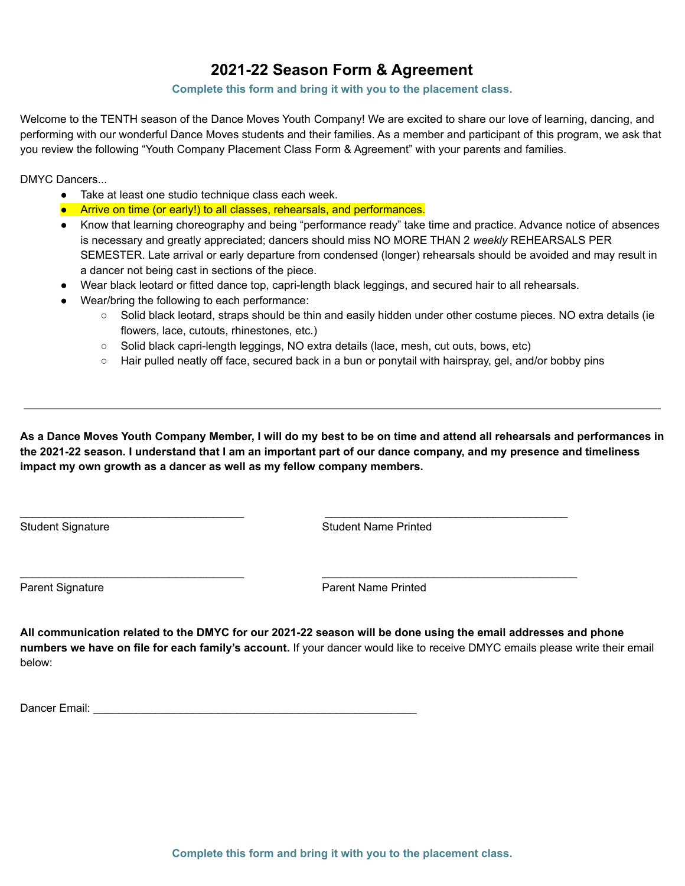# **2021-22 Season Form & Agreement**

### **Complete this form and bring it with you to the placement class.**

Welcome to the TENTH season of the Dance Moves Youth Company! We are excited to share our love of learning, dancing, and performing with our wonderful Dance Moves students and their families. As a member and participant of this program, we ask that you review the following "Youth Company Placement Class Form & Agreement" with your parents and families.

DMYC Dancers...

- Take at least one studio technique class each week.
- Arrive on time (or early!) to all classes, rehearsals, and performances.
- Know that learning choreography and being "performance ready" take time and practice. Advance notice of absences is necessary and greatly appreciated; dancers should miss NO MORE THAN 2 *weekly* REHEARSALS PER SEMESTER. Late arrival or early departure from condensed (longer) rehearsals should be avoided and may result in a dancer not being cast in sections of the piece.
- Wear black leotard or fitted dance top, capri-length black leggings, and secured hair to all rehearsals.
- Wear/bring the following to each performance:
	- Solid black leotard, straps should be thin and easily hidden under other costume pieces. NO extra details (ie flowers, lace, cutouts, rhinestones, etc.)
	- Solid black capri-length leggings, NO extra details (lace, mesh, cut outs, bows, etc)

 $\overline{\phantom{a}}$  , and the contribution of the contribution of the contribution of the contribution of the contribution of the contribution of the contribution of the contribution of the contribution of the contribution of the

 $\frac{1}{2}$  ,  $\frac{1}{2}$  ,  $\frac{1}{2}$  ,  $\frac{1}{2}$  ,  $\frac{1}{2}$  ,  $\frac{1}{2}$  ,  $\frac{1}{2}$  ,  $\frac{1}{2}$  ,  $\frac{1}{2}$  ,  $\frac{1}{2}$  ,  $\frac{1}{2}$  ,  $\frac{1}{2}$  ,  $\frac{1}{2}$  ,  $\frac{1}{2}$  ,  $\frac{1}{2}$  ,  $\frac{1}{2}$  ,  $\frac{1}{2}$  ,  $\frac{1}{2}$  ,  $\frac{1$ 

○ Hair pulled neatly off face, secured back in a bun or ponytail with hairspray, gel, and/or bobby pins

As a Dance Moves Youth Company Member, I will do my best to be on time and attend all rehearsals and performances in the 2021-22 season. I understand that I am an important part of our dance company, and my presence and timeliness **impact my own growth as a dancer as well as my fellow company members.**

Student Signature **Student Student Student Name Printed** 

Parent Signature **Parent Name Printed** 

All communication related to the DMYC for our 2021-22 season will be done using the email addresses and phone **numbers we have on file for each family's account.** If your dancer would like to receive DMYC emails please write their email below:

Dancer Email: **Example 20** and 20 and 20 and 20 and 20 and 20 and 20 and 20 and 20 and 20 and 20 and 20 and 20 and 20 and 20 and 20 and 20 and 20 and 20 and 20 and 20 and 20 and 20 and 20 and 20 and 20 and 20 and 20 and 20